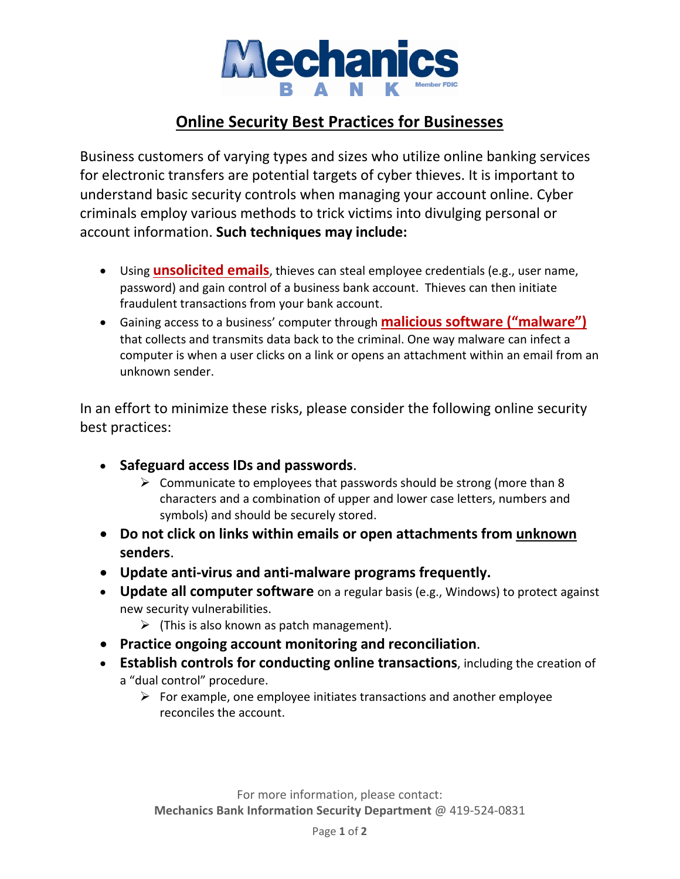

## **Online Security Best Practices for Businesses**

Business customers of varying types and sizes who utilize online banking services for electronic transfers are potential targets of cyber thieves. It is important to understand basic security controls when managing your account online. Cyber criminals employ various methods to trick victims into divulging personal or account information. **Such techniques may include:**

- Using **unsolicited emails**, thieves can steal employee credentials (e.g., user name, password) and gain control of a business bank account. Thieves can then initiate fraudulent transactions from your bank account.
- Gaining access to a business' computer through **malicious software ("malware")** that collects and transmits data back to the criminal. One way malware can infect a computer is when a user clicks on a link or opens an attachment within an email from an unknown sender.

In an effort to minimize these risks, please consider the following online security best practices:

- **Safeguard access IDs and passwords**.
	- $\triangleright$  Communicate to employees that passwords should be strong (more than 8) characters and a combination of upper and lower case letters, numbers and symbols) and should be securely stored.
- **Do not click on links within emails or open attachments from unknown senders**.
- **Update anti-virus and anti-malware programs frequently.**
- **Update all computer software** on a regular basis (e.g., Windows) to protect against new security vulnerabilities.
	- $\triangleright$  (This is also known as patch management).
- **Practice ongoing account monitoring and reconciliation**.
- **Establish controls for conducting online transactions**, including the creation of a "dual control" procedure.
	- $\triangleright$  For example, one employee initiates transactions and another employee reconciles the account.